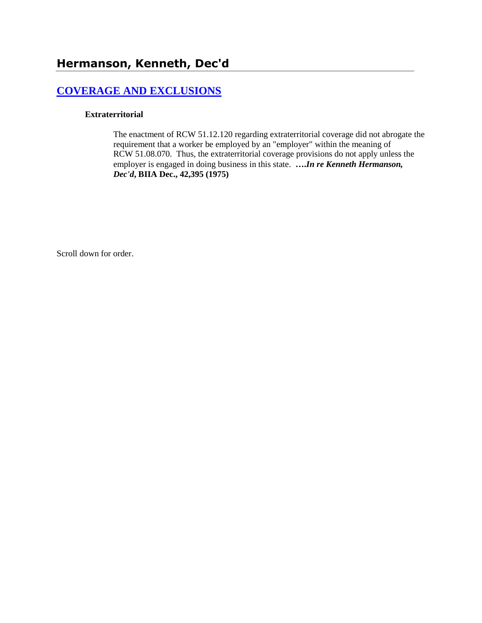# **[COVERAGE AND EXCLUSIONS](http://www.biia.wa.gov/SDSubjectIndex.html#COVERAGE_AND_EXCLUSIONS)**

#### **Extraterritorial**

The enactment of RCW 51.12.120 regarding extraterritorial coverage did not abrogate the requirement that a worker be employed by an "employer" within the meaning of RCW 51.08.070. Thus, the extraterritorial coverage provisions do not apply unless the employer is engaged in doing business in this state. **….***In re Kenneth Hermanson, Dec'd***, BIIA Dec., 42,395 (1975)** 

Scroll down for order.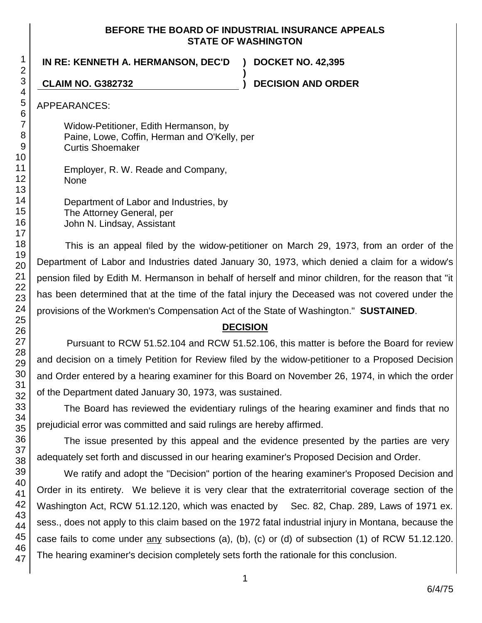### **BEFORE THE BOARD OF INDUSTRIAL INSURANCE APPEALS STATE OF WASHINGTON**

**)**

**IN RE: KENNETH A. HERMANSON, DEC'D ) DOCKET NO. 42,395**

**CLAIM NO. G382732 ) DECISION AND ORDER**

APPEARANCES:

Widow-Petitioner, Edith Hermanson, by Paine, Lowe, Coffin, Herman and O'Kelly, per Curtis Shoemaker

Employer, R. W. Reade and Company, None

Department of Labor and Industries, by The Attorney General, per John N. Lindsay, Assistant

This is an appeal filed by the widow-petitioner on March 29, 1973, from an order of the Department of Labor and Industries dated January 30, 1973, which denied a claim for a widow's pension filed by Edith M. Hermanson in behalf of herself and minor children, for the reason that "it has been determined that at the time of the fatal injury the Deceased was not covered under the provisions of the Workmen's Compensation Act of the State of Washington." **SUSTAINED**.

## **DECISION**

Pursuant to RCW 51.52.104 and RCW 51.52.106, this matter is before the Board for review and decision on a timely Petition for Review filed by the widow-petitioner to a Proposed Decision and Order entered by a hearing examiner for this Board on November 26, 1974, in which the order of the Department dated January 30, 1973, was sustained.

The Board has reviewed the evidentiary rulings of the hearing examiner and finds that no prejudicial error was committed and said rulings are hereby affirmed.

The issue presented by this appeal and the evidence presented by the parties are very adequately set forth and discussed in our hearing examiner's Proposed Decision and Order.

We ratify and adopt the "Decision" portion of the hearing examiner's Proposed Decision and Order in its entirety. We believe it is very clear that the extraterritorial coverage section of the Washington Act, RCW 51.12.120, which was enacted by Sec. 82, Chap. 289, Laws of 1971 ex. sess., does not apply to this claim based on the 1972 fatal industrial injury in Montana, because the case fails to come under any subsections (a), (b), (c) or (d) of subsection (1) of RCW 51.12.120. The hearing examiner's decision completely sets forth the rationale for this conclusion.

1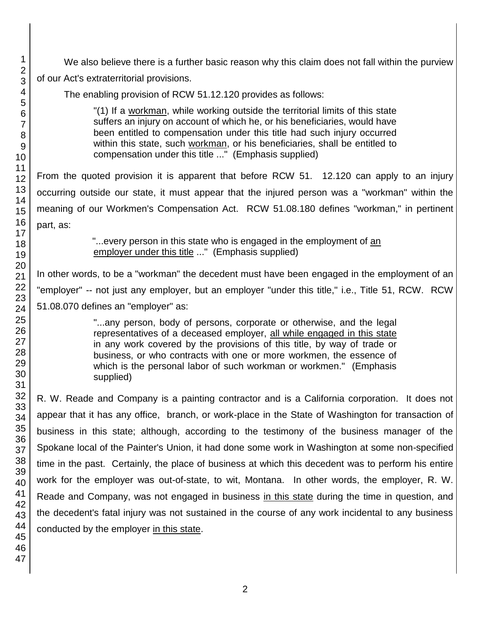We also believe there is a further basic reason why this claim does not fall within the purview of our Act's extraterritorial provisions. The enabling provision of RCW 51.12.120 provides as follows: "(1) If a workman, while working outside the territorial limits of this state suffers an injury on account of which he, or his beneficiaries, would have been entitled to compensation under this title had such injury occurred within this state, such workman, or his beneficiaries, shall be entitled to compensation under this title ..." (Emphasis supplied) From the quoted provision it is apparent that before RCW 51. 12.120 can apply to an injury

occurring outside our state, it must appear that the injured person was a "workman" within the meaning of our Workmen's Compensation Act. RCW 51.08.180 defines "workman," in pertinent part, as:

> "...every person in this state who is engaged in the employment of an employer under this title ..." (Emphasis supplied)

In other words, to be a "workman" the decedent must have been engaged in the employment of an "employer" -- not just any employer, but an employer "under this title," i.e., Title 51, RCW. RCW 51.08.070 defines an "employer" as:

> "...any person, body of persons, corporate or otherwise, and the legal representatives of a deceased employer, all while engaged in this state in any work covered by the provisions of this title, by way of trade or business, or who contracts with one or more workmen, the essence of which is the personal labor of such workman or workmen." (Emphasis supplied)

R. W. Reade and Company is a painting contractor and is a California corporation. It does not appear that it has any office, branch, or work-place in the State of Washington for transaction of business in this state; although, according to the testimony of the business manager of the Spokane local of the Painter's Union, it had done some work in Washington at some non-specified time in the past. Certainly, the place of business at which this decedent was to perform his entire work for the employer was out-of-state, to wit, Montana. In other words, the employer, R. W. Reade and Company, was not engaged in business in this state during the time in question, and the decedent's fatal injury was not sustained in the course of any work incidental to any business conducted by the employer in this state.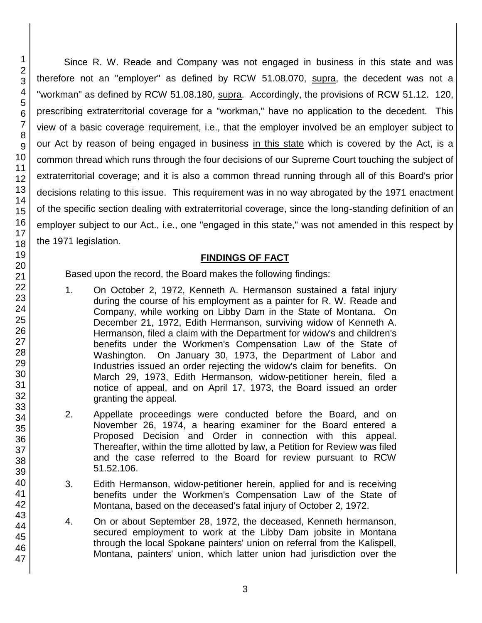Since R. W. Reade and Company was not engaged in business in this state and was therefore not an "employer" as defined by RCW 51.08.070, supra, the decedent was not a "workman" as defined by RCW 51.08.180, supra. Accordingly, the provisions of RCW 51.12. 120, prescribing extraterritorial coverage for a "workman," have no application to the decedent. This view of a basic coverage requirement, i.e., that the employer involved be an employer subject to our Act by reason of being engaged in business in this state which is covered by the Act, is a common thread which runs through the four decisions of our Supreme Court touching the subject of extraterritorial coverage; and it is also a common thread running through all of this Board's prior decisions relating to this issue. This requirement was in no way abrogated by the 1971 enactment of the specific section dealing with extraterritorial coverage, since the long-standing definition of an employer subject to our Act., i.e., one "engaged in this state," was not amended in this respect by the 1971 legislation.

### **FINDINGS OF FACT**

Based upon the record, the Board makes the following findings:

- 1. On October 2, 1972, Kenneth A. Hermanson sustained a fatal injury during the course of his employment as a painter for R. W. Reade and Company, while working on Libby Dam in the State of Montana. On December 21, 1972, Edith Hermanson, surviving widow of Kenneth A. Hermanson, filed a claim with the Department for widow's and children's benefits under the Workmen's Compensation Law of the State of Washington. On January 30, 1973, the Department of Labor and Industries issued an order rejecting the widow's claim for benefits. On March 29, 1973, Edith Hermanson, widow-petitioner herein, filed a notice of appeal, and on April 17, 1973, the Board issued an order granting the appeal.
- 2. Appellate proceedings were conducted before the Board, and on November 26, 1974, a hearing examiner for the Board entered a Proposed Decision and Order in connection with this appeal. Thereafter, within the time allotted by law, a Petition for Review was filed and the case referred to the Board for review pursuant to RCW 51.52.106.
- 3. Edith Hermanson, widow-petitioner herein, applied for and is receiving benefits under the Workmen's Compensation Law of the State of Montana, based on the deceased's fatal injury of October 2, 1972.
- 4. On or about September 28, 1972, the deceased, Kenneth hermanson, secured employment to work at the Libby Dam jobsite in Montana through the local Spokane painters' union on referral from the Kalispell, Montana, painters' union, which latter union had jurisdiction over the